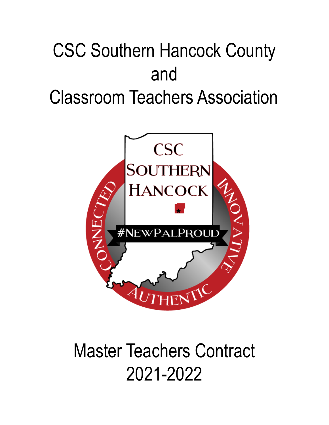# CSC Southern Hancock County and Classroom Teachers Association



# Master Teachers Contract 2021-2022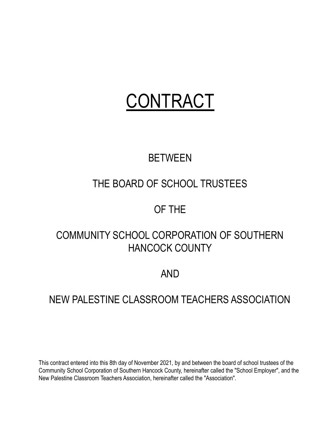# CONTRACT

# **BETWEEN**

# THE BOARD OF SCHOOL TRUSTEES

# OF THE

# COMMUNITY SCHOOL CORPORATION OF SOUTHERN HANCOCK COUNTY

# AND

## NEW PALESTINE CLASSROOM TEACHERS ASSOCIATION

This contract entered into this 8th day of November 2021, by and between the board of school trustees of the Community School Corporation of Southern Hancock County, hereinafter called the "School Employer", and the New Palestine Classroom Teachers Association, hereinafter called the "Association".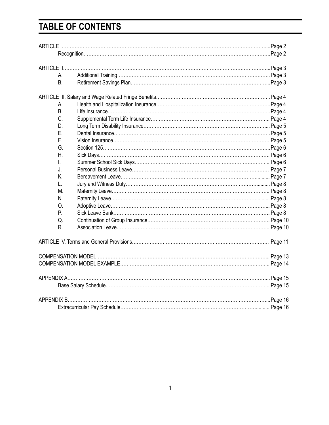# **TABLE OF CONTENTS**

| A.             |  |  |
|----------------|--|--|
| B <sub>1</sub> |  |  |
|                |  |  |
| А.             |  |  |
| B.             |  |  |
| C.             |  |  |
| D.             |  |  |
| Ε.             |  |  |
| E.             |  |  |
| G.             |  |  |
| Η.             |  |  |
| I.             |  |  |
| J.             |  |  |
| K.             |  |  |
| L.             |  |  |
| M.             |  |  |
| N.             |  |  |
| 0.             |  |  |
| P.             |  |  |
| Q.             |  |  |
| R.             |  |  |
|                |  |  |
|                |  |  |
|                |  |  |
|                |  |  |
|                |  |  |
|                |  |  |
|                |  |  |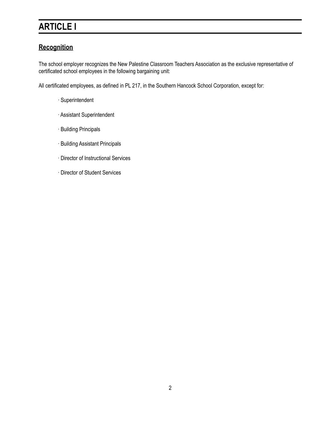# **ARTICLE I**

### **Recognition**

The school employer recognizes the New Palestine Classroom Teachers Association as the exclusive representative of certificated school employees in the following bargaining unit:

All certificated employees, as defined in PL 217, in the Southern Hancock School Corporation, except for:

- ∙ Superintendent
- ∙ Assistant Superintendent
- ∙ Building Principals
- ∙ Building Assistant Principals
- ∙ Director of Instructional Services
- ∙ Director of Student Services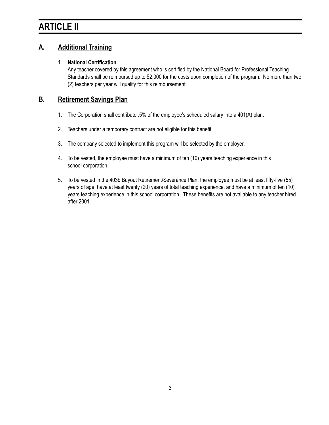## **ARTICLE II**

#### **A. Additional Training**

#### 1. **National Certification**

Any teacher covered by this agreement who is certified by the National Board for Professional Teaching Standards shall be reimbursed up to \$2,000 for the costs upon completion of the program. No more than two (2) teachers per year will qualify for this reimbursement.

#### **B. Retirement Savings Plan**

- 1. The Corporation shall contribute .5% of the employee's scheduled salary into a 401(A) plan.
- 2. Teachers under a temporary contract are not eligible for this benefit.
- 3. The company selected to implement this program will be selected by the employer.
- 4. To be vested, the employee must have a minimum of ten (10) years teaching experience in this school corporation.
- 5. To be vested in the 403b Buyout Retirement/Severance Plan, the employee must be at least fifty-five (55) years of age, have at least twenty (20) years of total teaching experience, and have a minimum of ten (10) years teaching experience in this school corporation. These benefits are not available to any teacher hired after 2001.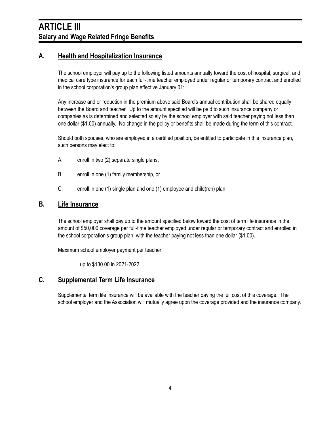### **ARTICLE III Salary and Wage Related Fringe Benefits**

#### **A. Health and Hospitalization Insurance**

The school employer will pay up to the following listed amounts annually toward the cost of hospital, surgical, and medical care type insurance for each full-time teacher employed under regular or temporary contract and enrolled in the school corporation's group plan effective January 01:

Any increase and or reduction in the premium above said Board's annual contribution shall be shared equally between the Board and teacher. Up to the amount specified will be paid to such insurance company or companies as is determined and selected solely by the school employer with said teacher paying not less than one dollar (\$1.00) annually. No change in the policy or benefits shall be made during the term of this contract.

Should both spouses, who are employed in a certified position, be entitled to participate in this insurance plan, such persons may elect to:

- A. enroll in two (2) separate single plans,
- B. enroll in one (1) family membership, or
- C. enroll in one (1) single plan and one (1) employee and child(ren) plan

#### **B. Life Insurance**

The school employer shall pay up to the amount specified below toward the cost of term life insurance in the amount of \$50,000 coverage per full-time teacher employed under regular or temporary contract and enrolled in the school corporation's group plan, with the teacher paying not less than one dollar (\$1.00).

Maximum school employer payment per teacher:

∙ up to \$130.00 in 2021-2022

#### **C. Supplemental Term Life Insurance**

Supplemental term life insurance will be available with the teacher paying the full cost of this coverage. The school employer and the Association will mutually agree upon the coverage provided and the insurance company.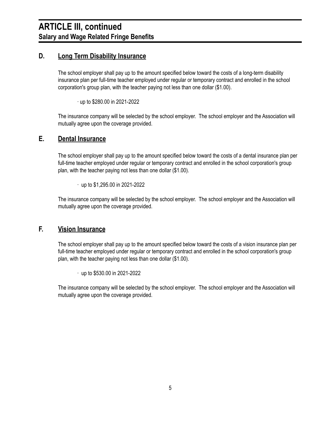#### **D. Long Term Disability Insurance**

The school employer shall pay up to the amount specified below toward the costs of a long-term disability insurance plan per full-time teacher employed under regular or temporary contract and enrolled in the school corporation's group plan, with the teacher paying not less than one dollar (\$1.00).

∙ up to \$280.00 in 2021-2022

The insurance company will be selected by the school employer. The school employer and the Association will mutually agree upon the coverage provided.

#### **E. Dental Insurance**

The school employer shall pay up to the amount specified below toward the costs of a dental insurance plan per full-time teacher employed under regular or temporary contract and enrolled in the school corporation's group plan, with the teacher paying not less than one dollar (\$1.00).

∙ up to \$1,295.00 in 2021-2022

The insurance company will be selected by the school employer. The school employer and the Association will mutually agree upon the coverage provided.

#### **F. Vision Insurance**

The school employer shall pay up to the amount specified below toward the costs of a vision insurance plan per full-time teacher employed under regular or temporary contract and enrolled in the school corporation's group plan, with the teacher paying not less than one dollar (\$1.00).

∙ up to \$530.00 in 2021-2022

The insurance company will be selected by the school employer. The school employer and the Association will mutually agree upon the coverage provided.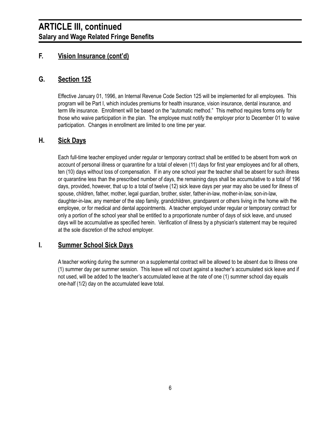#### **F. Vision Insurance (cont'd)**

#### **G. Section 125**

Effective January 01, 1996, an Internal Revenue Code Section 125 will be implemented for all employees. This program will be Part I, which includes premiums for health insurance, vision insurance, dental insurance, and term life insurance. Enrollment will be based on the "automatic method." This method requires forms only for those who waive participation in the plan. The employee must notify the employer prior to December 01 to waive participation. Changes in enrollment are limited to one time per year.

#### **H. Sick Days**

Each full-time teacher employed under regular or temporary contract shall be entitled to be absent from work on account of personal illness or quarantine for a total of eleven (11) days for first year employees and for all others, ten (10) days without loss of compensation. If in any one school year the teacher shall be absent for such illness or quarantine less than the prescribed number of days, the remaining days shall be accumulative to a total of 196 days, provided, however, that up to a total of twelve (12) sick leave days per year may also be used for illness of spouse, children, father, mother, legal guardian, brother, sister, father-in-law, mother-in-law, son-in-law, daughter-in-law, any member of the step family, grandchildren, grandparent or others living in the home with the employee, or for medical and dental appointments. A teacher employed under regular or temporary contract for only a portion of the school year shall be entitled to a proportionate number of days of sick leave, and unused days will be accumulative as specified herein. Verification of illness by a physician's statement may be required at the sole discretion of the school employer.

#### **I. Summer School Sick Days**

A teacher working during the summer on a supplemental contract will be allowed to be absent due to illness one (1) summer day per summer session. This leave will not count against a teacher's accumulated sick leave and if not used, will be added to the teacher's accumulated leave at the rate of one (1) summer school day equals one-half (1/2) day on the accumulated leave total.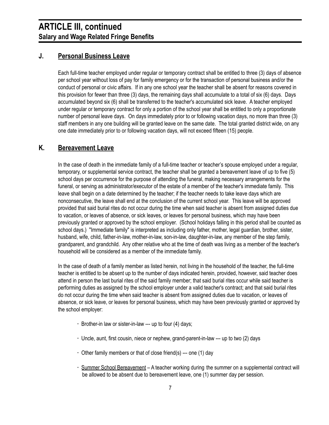#### **J. Personal Business Leave**

Each full-time teacher employed under regular or temporary contract shall be entitled to three (3) days of absence per school year without loss of pay for family emergency or for the transaction of personal business and/or the conduct of personal or civic affairs. If in any one school year the teacher shall be absent for reasons covered in this provision for fewer than three (3) days, the remaining days shall accumulate to a total of six (6) days. Days accumulated beyond six (6) shall be transferred to the teacher's accumulated sick leave. A teacher employed under regular or temporary contract for only a portion of the school year shall be entitled to only a proportionate number of personal leave days. On days immediately prior to or following vacation days, no more than three (3) staff members in any one building will be granted leave on the same date. The total granted district wide, on any one date immediately prior to or following vacation days, will not exceed fifteen (15) people.

#### **K. Bereavement Leave**

In the case of death in the immediate family of a full-time teacher or teacher's spouse employed under a regular, temporary, or supplemental service contract, the teacher shall be granted a bereavement leave of up to five (5) school days per occurrence for the purpose of attending the funeral, making necessary arrangements for the funeral, or serving as administrator/executor of the estate of a member of the teacher's immediate family. This leave shall begin on a date determined by the teacher; if the teacher needs to take leave days which are nonconsecutive, the leave shall end at the conclusion of the current school year. This leave will be approved provided that said burial rites do not occur during the time when said teacher is absent from assigned duties due to vacation, or leaves of absence, or sick leaves, or leaves for personal business, which may have been previously granted or approved by the school employer. (School holidays falling in this period shall be counted as school days.) "Immediate family" is interpreted as including only father, mother, legal guardian, brother, sister, husband, wife, child, father-in-law, mother-in-law, son-in-law, daughter-in-law, any member of the step family, grandparent, and grandchild. Any other relative who at the time of death was living as a member of the teacher's household will be considered as a member of the immediate family.

In the case of death of a family member as listed herein, not living in the household of the teacher, the full-time teacher is entitled to be absent up to the number of days indicated herein, provided, however, said teacher does attend in person the last burial rites of the said family member; that said burial rites occur while said teacher is performing duties as assigned by the school employer under a valid teacher's contract; and that said burial rites do not occur during the time when said teacher is absent from assigned duties due to vacation, or leaves of absence, or sick leave, or leaves for personal business, which may have been previously granted or approved by the school employer:

- **∙** Brother-in law or sister-in-law --- up to four (4) days;
- **∙** Uncle, aunt, first cousin, niece or nephew, grand-parent-in-law --- up to two (2) days
- **∙** Other family members or that of close friend(s) --- one (1) day
- **∙** Summer School Bereavement A teacher working during the summer on a supplemental contract will be allowed to be absent due to bereavement leave, one (1) summer day per session.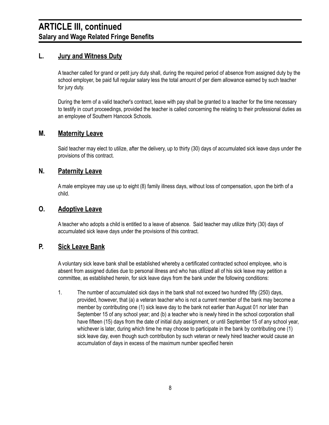#### **L. Jury and Witness Duty**

A teacher called for grand or petit jury duty shall, during the required period of absence from assigned duty by the school employer, be paid full regular salary less the total amount of per diem allowance earned by such teacher for jury duty.

During the term of a valid teacher's contract, leave with pay shall be granted to a teacher for the time necessary to testify in court proceedings, provided the teacher is called concerning the relating to their professional duties as an employee of Southern Hancock Schools.

#### **M. Maternity Leave**

Said teacher may elect to utilize, after the delivery, up to thirty (30) days of accumulated sick leave days under the provisions of this contract.

#### **N. Paternity Leave**

A male employee may use up to eight (8) family illness days, without loss of compensation, upon the birth of a child.

#### **O. Adoptive Leave**

A teacher who adopts a child is entitled to a leave of absence. Said teacher may utilize thirty (30) days of accumulated sick leave days under the provisions of this contract.

#### **P. Sick Leave Bank**

A voluntary sick leave bank shall be established whereby a certificated contracted school employee, who is absent from assigned duties due to personal illness and who has utilized all of his sick leave may petition a committee, as established herein, for sick leave days from the bank under the following conditions:

1. The number of accumulated sick days in the bank shall not exceed two hundred fifty (250) days, provided, however, that (a) a veteran teacher who is not a current member of the bank may become a member by contributing one (1) sick leave day to the bank not earlier than August 01 nor later than September 15 of any school year; and (b) a teacher who is newly hired in the school corporation shall have fifteen (15) days from the date of initial duty assignment, or until September 15 of any school year, whichever is later, during which time he may choose to participate in the bank by contributing one (1) sick leave day, even though such contribution by such veteran or newly hired teacher would cause an accumulation of days in excess of the maximum number specified herein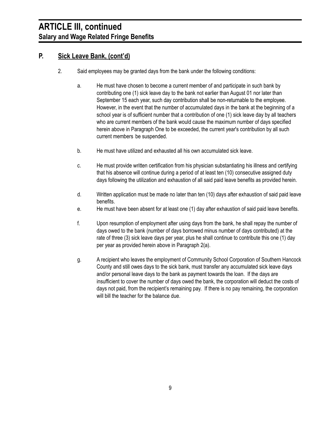#### **P. Sick Leave Bank, (cont'd)**

- 2. Said employees may be granted days from the bank under the following conditions:
	- a. He must have chosen to become a current member of and participate in such bank by contributing one (1) sick leave day to the bank not earlier than August 01 nor later than September 15 each year, such day contribution shall be non-returnable to the employee. However, in the event that the number of accumulated days in the bank at the beginning of a school year is of sufficient number that a contribution of one (1) sick leave day by all teachers who are current members of the bank would cause the maximum number of days specified herein above in Paragraph One to be exceeded, the current year's contribution by all such current members be suspended.
	- b. He must have utilized and exhausted all his own accumulated sick leave.
	- c. He must provide written certification from his physician substantiating his illness and certifying that his absence will continue during a period of at least ten (10) consecutive assigned duty days following the utilization and exhaustion of all said paid leave benefits as provided herein.
	- d. Written application must be made no later than ten (10) days after exhaustion of said paid leave benefits.
	- e. He must have been absent for at least one (1) day after exhaustion of said paid leave benefits.
	- f. Upon resumption of employment after using days from the bank, he shall repay the number of days owed to the bank (number of days borrowed minus number of days contributed) at the rate of three (3) sick leave days per year, plus he shall continue to contribute this one (1) day per year as provided herein above in Paragraph 2(a).
	- g. A recipient who leaves the employment of Community School Corporation of Southern Hancock County and still owes days to the sick bank, must transfer any accumulated sick leave days and/or personal leave days to the bank as payment towards the loan. If the days are insufficient to cover the number of days owed the bank, the corporation will deduct the costs of days not paid, from the recipient's remaining pay. If there is no pay remaining, the corporation will bill the teacher for the balance due.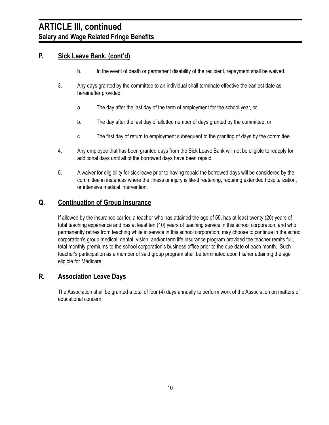#### **P. Sick Leave Bank, (cont'd)**

- h. In the event of death or permanent disability of the recipient, repayment shall be waived.
- 3. Any days granted by the committee to an individual shall terminate effective the earliest date as hereinafter provided:
	- a. The day after the last day of the term of employment for the school year, or
	- b. The day after the last day of allotted number of days granted by the committee, or
	- c. The first day of return to employment subsequent to the granting of days by the committee.
- 4. Any employee that has been granted days from the Sick Leave Bank will not be eligible to reapply for additional days until all of the borrowed days have been repaid.
- 5. A waiver for eligibility for sick leave prior to having repaid the borrowed days will be considered by the committee in instances where the illness or injury is life-threatening, requiring extended hospitalization, or intensive medical intervention.

#### **Q. Continuation of Group Insurance**

If allowed by the insurance carrier, a teacher who has attained the age of 55, has at least twenty (20) years of total teaching experience and has at least ten (10) years of teaching service in this school corporation, and who permanently retires from teaching while in service in this school corporation, may choose to continue in the school corporation's group medical, dental, vision, and/or term life insurance program provided the teacher remits full, total monthly premiums to the school corporation's business office prior to the due date of each month. Such teacher's participation as a member of said group program shall be terminated upon his/her attaining the age eligible for Medicare.

#### **R. Association Leave Days**

The Association shall be granted a total of four (4) days annually to perform work of the Association on matters of educational concern.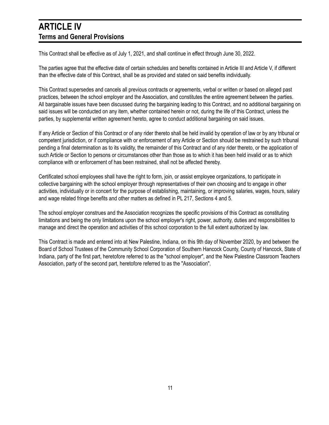### **ARTICLE IV Terms and General Provisions**

This Contract shall be effective as of July 1, 2021, and shall continue in effect through June 30, 2022.

The parties agree that the effective date of certain schedules and benefits contained in Article III and Article V, if different than the effective date of this Contract, shall be as provided and stated on said benefits individually.

This Contract supersedes and cancels all previous contracts or agreements, verbal or written or based on alleged past practices, between the school employer and the Association, and constitutes the entire agreement between the parties. All bargainable issues have been discussed during the bargaining leading to this Contract, and no additional bargaining on said issues will be conducted on any item, whether contained herein or not, during the life of this Contract, unless the parties, by supplemental written agreement hereto, agree to conduct additional bargaining on said issues.

If any Article or Section of this Contract or of any rider thereto shall be held invalid by operation of law or by any tribunal or competent jurisdiction, or if compliance with or enforcement of any Article or Section should be restrained by such tribunal pending a final determination as to its validity, the remainder of this Contract and of any rider thereto, or the application of such Article or Section to persons or circumstances other than those as to which it has been held invalid or as to which compliance with or enforcement of has been restrained, shall not be affected thereby.

Certificated school employees shall have the right to form, join, or assist employee organizations, to participate in collective bargaining with the school employer through representatives of their own choosing and to engage in other activities, individually or in concert for the purpose of establishing, maintaining, or improving salaries, wages, hours, salary and wage related fringe benefits and other matters as defined in PL 217, Sections 4 and 5.

The school employer construes and the Association recognizes the specific provisions of this Contract as constituting limitations and being the only limitations upon the school employer's right, power, authority, duties and responsibilities to manage and direct the operation and activities of this school corporation to the full extent authorized by law.

This Contract is made and entered into at New Palestine, Indiana, on this 9th day of November 2020, by and between the Board of School Trustees of the Community School Corporation of Southern Hancock County, County of Hancock, State of Indiana, party of the first part, heretofore referred to as the "school employer", and the New Palestine Classroom Teachers Association, party of the second part, heretofore referred to as the "Association".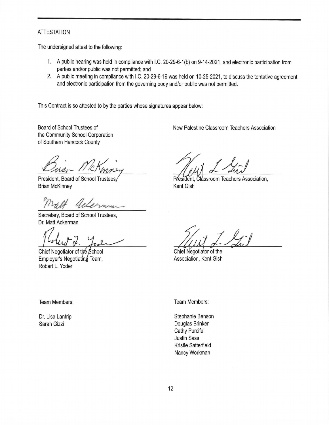#### ATTESTATION

The undersigned attest to the following:

- 1. A public hearing was held in compliance with I.C. 20-29-6-1 (b) on 9-14-2021, and electronic participation from parties and/or public was not permitted; and
- 2. A public meeting in compliance with I.C. 20-29-6-19 was held on 10-25-2021, to discuss the tentative agreement and electronic participation from the governing body and/or public was not permitted.

This Contract is so attested to by the parties whose signatures appear below:

Board of School Trustees of the Community School Corporation of Southern Hancock County

President, Board of School Trustees, Brian McKinney

Secretary, Board of School Trustees, Dr. Matt Ackerman

Chief Negotiator of the School Employer's Negotiating Team, Robert L. Yoder

New Palestine Classroom Teachers Association

President, Classroom Teachers Association, Kent Gish

Chief Negotiator of the Association, Kent Gish

Team Members: Team Members:

Dr. Lisa Lantrip Sarah Gizzi

Stephanie Benson Douglas Brinker Cathy Purciful Justin Sass Kristie Satterfield Nancy Workman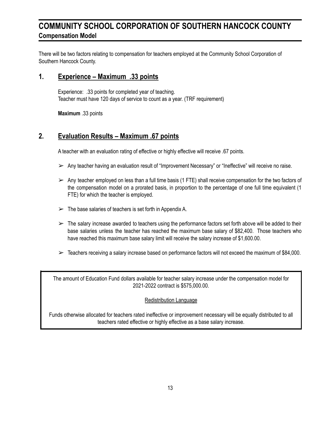### **COMMUNITY SCHOOL CORPORATION OF SOUTHERN HANCOCK COUNTY Compensation Model**

There will be two factors relating to compensation for teachers employed at the Community School Corporation of Southern Hancock County.

#### **1. Experience – Maximum .33 points**

Experience: .33 points for completed year of teaching. Teacher must have 120 days of service to count as a year. (TRF requirement)

**Maximum** .33 points

#### **2. Evaluation Results – Maximum .67 points**

A teacher with an evaluation rating of effective or highly effective will receive .67 points.

- $\triangleright$  Any teacher having an evaluation result of "Improvement Necessary" or "Ineffective" will receive no raise.
- $\triangleright$  Any teacher employed on less than a full time basis (1 FTE) shall receive compensation for the two factors of the compensation model on a prorated basis, in proportion to the percentage of one full time equivalent (1 FTE) for which the teacher is employed.
- $\triangleright$  The base salaries of teachers is set forth in Appendix A.
- $\triangleright$  The salary increase awarded to teachers using the performance factors set forth above will be added to their base salaries unless the teacher has reached the maximum base salary of \$82,400. Those teachers who have reached this maximum base salary limit will receive the salary increase of \$1,600.00.
- $\geq$  Teachers receiving a salary increase based on performance factors will not exceed the maximum of \$84,000.

The amount of Education Fund dollars available for teacher salary increase under the compensation model for 2021-2022 contract is \$575,000.00.

#### Redistribution Language

Funds otherwise allocated for teachers rated ineffective or improvement necessary will be equally distributed to all teachers rated effective or highly effective as a base salary increase.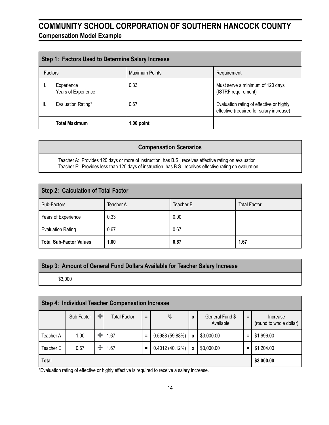### **COMMUNITY SCHOOL CORPORATION OF SOUTHERN HANCOCK COUNTY Compensation Model Example**

| Step 1: Factors Used to Determine Salary Increase |                                   |                       |                                                                                      |  |  |  |  |
|---------------------------------------------------|-----------------------------------|-----------------------|--------------------------------------------------------------------------------------|--|--|--|--|
| Factors                                           |                                   | <b>Maximum Points</b> | Requirement                                                                          |  |  |  |  |
|                                                   | Experience<br>Years of Experience | 0.33                  | Must serve a minimum of 120 days<br>(ISTRF requirement)                              |  |  |  |  |
| Ⅱ.                                                | Evaluation Rating*                | 0.67                  | Evaluation rating of effective or highly<br>effective (required for salary increase) |  |  |  |  |
|                                                   | <b>Total Maximum</b>              | 1.00 point            |                                                                                      |  |  |  |  |

#### **Compensation Scenarios**

Teacher A: Provides 120 days or more of instruction, has B.S., receives effective rating on evaluation Teacher E: Provides less than 120 days of instruction, has B.S., receives effective rating on evaluation

| <b>Step 2: Calculation of Total Factor</b> |           |           |                     |  |  |  |  |
|--------------------------------------------|-----------|-----------|---------------------|--|--|--|--|
| Sub-Factors                                | Teacher A | Teacher E | <b>Total Factor</b> |  |  |  |  |
| Years of Experience                        | 0.33      | 0.00      |                     |  |  |  |  |
| <b>Evaluation Rating</b>                   | 0.67      | 0.67      |                     |  |  |  |  |
| <b>Total Sub-Factor Values</b>             | 1.00      | 0.67      | 1.67                |  |  |  |  |

#### **Step 3: Amount of General Fund Dollars Available for Teacher Salary Increase**

\$3,000

| Step 4: Individual Teacher Compensation Increase |            |                    |                     |          |                 |              |                              |          |                                     |
|--------------------------------------------------|------------|--------------------|---------------------|----------|-----------------|--------------|------------------------------|----------|-------------------------------------|
|                                                  | Sub Factor | $\frac{1}{\sigma}$ | <b>Total Factor</b> | $=$      | $\frac{0}{0}$   | $\mathbf{x}$ | General Fund \$<br>Available | $\equiv$ | Increase<br>(round to whole dollar) |
| Teacher A                                        | 1.00       | $\div$             | 1.67                | $\equiv$ | 0.5988 (59.88%) | X            | \$3,000.00                   | $\equiv$ | \$1,996.00                          |
| Teacher E                                        | 0.67       | $\div$             | 1.67                | $\equiv$ | 0.4012(40.12%)  | X            | \$3,000.00                   | $\equiv$ | \$1,204.00                          |
| <b>Total</b>                                     |            |                    |                     |          | \$3,000.00      |              |                              |          |                                     |

\*Evaluation rating of effective or highly effective is required to receive a salary increase.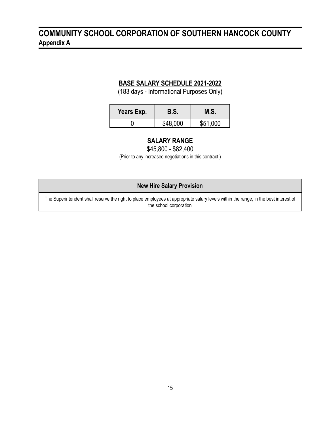### **COMMUNITY SCHOOL CORPORATION OF SOUTHERN HANCOCK COUNTY Appendix A**

#### **BASE SALARY SCHEDULE 2021-2022**

(183 days - Informational Purposes Only)

| Years Exp. | <b>B.S.</b> | M.S.     |
|------------|-------------|----------|
|            | \$48,000    | \$51,000 |

#### **SALARY RANGE**

\$45,800 - \$82,400

(Prior to any increased negotiations in this contract.)

#### **New Hire Salary Provision**

The Superintendent shall reserve the right to place employees at appropriate salary levels within the range, in the best interest of the school corporation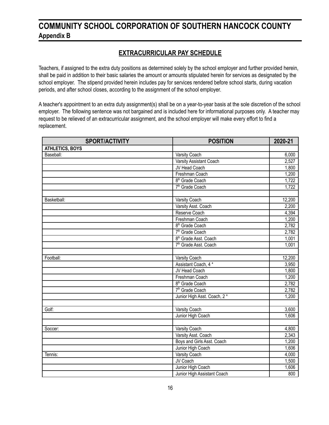### **COMMUNITY SCHOOL CORPORATION OF SOUTHERN HANCOCK COUNTY Appendix B**

#### **EXTRACURRICULAR PAY SCHEDULE**

Teachers, if assigned to the extra duty positions as determined solely by the school employer and further provided herein, shall be paid in addition to their basic salaries the amount or amounts stipulated herein for services as designated by the school employer. The stipend provided herein includes pay for services rendered before school starts, during vacation periods, and after school closes, according to the assignment of the school employer.

A teacher's appointment to an extra duty assignment(s) shall be on a year-to-year basis at the sole discretion of the school employer. The following sentence was not bargained and is included here for informational purposes only. A teacher may request to be relieved of an extracurricular assignment, and the school employer will make every effort to find a replacement.

| <b>SPORT/ACTIVITY</b>  | <b>POSITION</b>                   | 2020-21 |
|------------------------|-----------------------------------|---------|
| <b>ATHLETICS, BOYS</b> |                                   |         |
| Baseball:              | Varsity Coach                     | 6,000   |
|                        | Varsity Assistant Coach           | 2,527   |
|                        | JV Head Coach                     | 1,800   |
|                        | Freshman Coach                    | 1,200   |
|                        | 8 <sup>th</sup> Grade Coach       | 1,722   |
|                        | 7 <sup>th</sup> Grade Coach       | 1,722   |
|                        |                                   |         |
| Basketball:            | Varsity Coach                     | 12,200  |
|                        | Varsity Asst. Coach               | 2,200   |
|                        | Reserve Coach                     | 4,394   |
|                        | Freshman Coach                    | 1,200   |
|                        | 8 <sup>th</sup> Grade Coach       | 2,782   |
|                        | 7 <sup>th</sup> Grade Coach       | 2,782   |
|                        | 8 <sup>th</sup> Grade Asst. Coach | 1,001   |
|                        | 7 <sup>th</sup> Grade Asst. Coach | 1,001   |
|                        |                                   |         |
| Football:              | Varsity Coach                     | 12,200  |
|                        | Assistant Coach, 4 *              | 3,950   |
|                        | JV Head Coach                     | 1,800   |
|                        | Freshman Coach                    | 1,200   |
|                        | 8 <sup>th</sup> Grade Coach       | 2,782   |
|                        | 7 <sup>th</sup> Grade Coach       | 2,782   |
|                        | Junior High Asst. Coach, 2 *      | 1,200   |
|                        |                                   |         |
| Golf:                  | <b>Varsity Coach</b>              | 3,600   |
|                        | Junior High Coach                 | 1,606   |
|                        |                                   |         |
| Soccer:                | <b>Varsity Coach</b>              | 4,800   |
|                        | Varsity Asst. Coach               | 2,343   |
|                        | Boys and Girls Asst. Coach        | 1,200   |
|                        | Junior High Coach                 | 1,606   |
| Tennis:                | <b>Varsity Coach</b>              | 4,000   |
|                        | JV Coach                          | 1,500   |
|                        | Junior High Coach                 | 1,606   |
|                        | Junior High Assistant Coach       | 800     |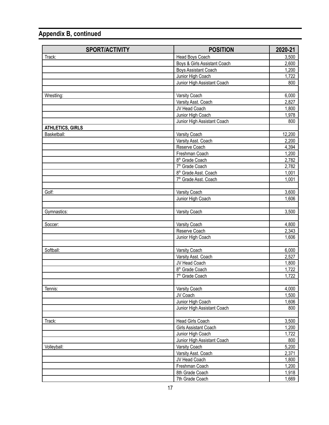| <b>SPORT/ACTIVITY</b>   | <b>POSITION</b>                   | 2020-21 |
|-------------------------|-----------------------------------|---------|
| Track:                  | Head Boys Coach                   | 3,500   |
|                         | Boys & Girls Assistant Coach      | 2,600   |
|                         | Boys Assistant Coach              | 1,200   |
|                         | Junior High Coach                 | 1,722   |
|                         | Junior High Assistant Coach       | 800     |
|                         |                                   |         |
| Wrestling:              | Varsity Coach                     | 6,000   |
|                         | Varsity Asst. Coach               | 2,827   |
|                         | JV Head Coach                     | 1,800   |
|                         | Junior High Coach                 | 1,978   |
|                         | Junior High Assistant Coach       | 800     |
| <b>ATHLETICS, GIRLS</b> |                                   |         |
| Basketball:             | Varsity Coach                     | 12,200  |
|                         | Varsity Asst. Coach               | 2,200   |
|                         | Reserve Coach                     | 4,394   |
|                         | Freshman Coach                    | 1,200   |
|                         | 8 <sup>th</sup> Grade Coach       | 2,782   |
|                         | 7 <sup>th</sup> Grade Coach       | 2,782   |
|                         | 8 <sup>th</sup> Grade Asst. Coach | 1,001   |
|                         | 7 <sup>th</sup> Grade Asst. Coach | 1,001   |
|                         |                                   |         |
| Golf:                   | Varsity Coach                     | 3,600   |
|                         | Junior High Coach                 | 1,606   |
|                         |                                   |         |
| Gymnastics:             | Varsity Coach                     | 3,500   |
|                         |                                   |         |
| Soccer:                 | Varsity Coach                     | 4,800   |
|                         | Reserve Coach                     | 2,343   |
|                         | Junior High Coach                 | 1,606   |
|                         |                                   |         |
| Softball:               | Varsity Coach                     | 6,000   |
|                         | Varsity Asst. Coach               | 2,527   |
|                         | JV Head Coach                     | 1,800   |
|                         | 8 <sup>th</sup> Grade Coach       | 1,722   |
|                         | 7 <sup>th</sup> Grade Coach       | 1,722   |
|                         |                                   |         |
| Tennis:                 | Varsity Coach                     | 4,000   |
|                         | JV Coach                          | 1,500   |
|                         | Junior High Coach                 | 1,606   |
|                         | Junior High Assistant Coach       | 800     |
|                         |                                   |         |
| Track:                  | Head Girls Coach                  | 3,500   |
|                         | Girls Assistant Coach             | 1,200   |
|                         | Junior High Coach                 | 1,722   |
|                         | Junior High Assistant Coach       | 800     |
| Volleyball:             | Varsity Coach                     | 5,200   |
|                         | Varsity Asst. Coach               | 2,371   |
|                         | JV Head Coach                     | 1,800   |
|                         | Freshman Coach                    | 1,200   |
|                         | 8th Grade Coach                   | 1,918   |
|                         | 7th Grade Coach                   | 1,669   |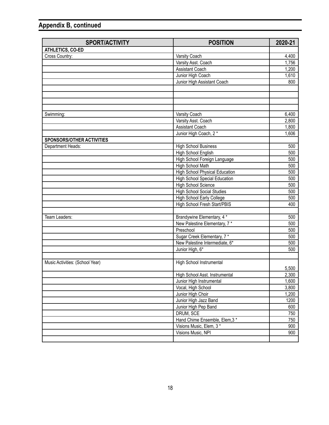| <b>SPORT/ACTIVITY</b>            | <b>POSITION</b>                       | 2020-21 |
|----------------------------------|---------------------------------------|---------|
| ATHLETICS, CO-ED                 |                                       |         |
| Cross Country:                   | Varsity Coach                         | 4,400   |
|                                  | Varsity Asst. Coach                   | 1,756   |
|                                  | Assistant Coach                       | 1,200   |
|                                  | Junior High Coach                     | 1,610   |
|                                  | Junior High Assistant Coach           | 800     |
|                                  |                                       |         |
|                                  |                                       |         |
|                                  |                                       |         |
|                                  |                                       |         |
| Swimming:                        | Varsity Coach                         | 6,400   |
|                                  | Varsity Asst. Coach                   | 2,800   |
|                                  | Assistant Coach                       | 1,800   |
|                                  | Junior High Coach, 2*                 | 1,606   |
| <b>SPONSORS/OTHER ACTIVITIES</b> |                                       |         |
| Department Heads:                | <b>High School Business</b>           | 500     |
|                                  | High School English                   | 500     |
|                                  | High School Foreign Language          | 500     |
|                                  | <b>High School Math</b>               | 500     |
|                                  | <b>High School Physical Education</b> | 500     |
|                                  | <b>High School Special Education</b>  | 500     |
|                                  | <b>High School Science</b>            | 500     |
|                                  | <b>High School Social Studies</b>     | 500     |
|                                  | High School Early College             | 500     |
|                                  | High School Fresh Start/PBIS          | 400     |
|                                  |                                       |         |
| Team Leaders:                    | Brandywine Elementary, 4 *            | 500     |
|                                  | New Palestine Elementary, 7*          | 500     |
|                                  | Preschool                             | 500     |
|                                  | Sugar Creek Elementary, 7*            | 500     |
|                                  | New Palestine Intermediate, 6*        | 500     |
|                                  | Junior High, 6*                       | 500     |
|                                  |                                       |         |
| Music Activities: (School Year)  | High School Instrumental              |         |
|                                  |                                       | 5,500   |
|                                  | High School Asst. Instrumental        | 2,300   |
|                                  | Junior High Instrumental              | 1,600   |
|                                  | Vocal, High School                    | 3,800   |
|                                  | Junior High Choir                     | 1,200   |
|                                  | Junior High Jazz Band                 | 1200    |
|                                  | Junior High Pep Band                  | 600     |
|                                  | DRUM, SCE                             | 750     |
|                                  | Hand Chime Ensemble, Elem, 3*         | 750     |
|                                  | Visions Music, Elem, 3*               | 900     |
|                                  | Visions Music, NPI                    | 900     |
|                                  |                                       |         |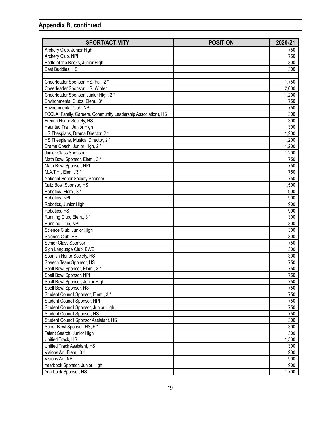| <b>SPORT/ACTIVITY</b>                                         | <b>POSITION</b> | 2020-21 |
|---------------------------------------------------------------|-----------------|---------|
| Archery Club, Junior High                                     |                 | 750     |
| Archery Club, NPI                                             |                 | 750     |
| Battle of the Books, Junior High                              |                 | 300     |
| Best Buddies, HS                                              |                 | 300     |
|                                                               |                 |         |
| Cheerleader Sponsor, HS, Fall, 2 *                            |                 | 1,750   |
| Cheerleader Sponsor, HS, Winter                               |                 | 2,000   |
| Cheerleader Sponsor, Junior High, 2 *                         |                 | 1,200   |
| Environmental Clubs, Elem., 3*                                |                 | 750     |
| Environmental Club, NPI                                       |                 | 750     |
| FCCLA (Family, Careers, Community Leadership Association), HS |                 | 300     |
| French Honor Society, HS                                      |                 | 300     |
| Haunted Trail, Junior High                                    |                 | 300     |
| HS Thespians, Drama Director, 2 *                             |                 | 1,200   |
| HS Thespians, Musical Director, 2 *                           |                 | 1,200   |
| Drama Coach, Junior High, 2 *                                 |                 | 1,200   |
| Junior Class Sponsor                                          |                 | 1,200   |
| Math Bowl Sponsor, Elem., 3 *                                 |                 | 750     |
| Math Bowl Sponsor, NPI                                        |                 | 750     |
| M.A.T.H., Elem., 3*                                           |                 | 750     |
| National Honor Society Sponsor                                |                 | 750     |
| Quiz Bowl Sponsor, HS                                         |                 | 1,500   |
| Robotics, Elem., 3*                                           |                 | 900     |
| Robotics, NPI                                                 |                 | 900     |
| Robotics, Junior High                                         |                 | 900     |
| Robotics, HS                                                  |                 | 900     |
| Running Club, Elem., 3*                                       |                 | 300     |
| Running Club, NPI                                             |                 | 300     |
| Science Club, Junior High                                     |                 | 300     |
| Science Club, HS                                              |                 | 300     |
| Senior Class Sponsor                                          |                 | 750     |
| Sign Language Club, BWE                                       |                 | 300     |
| Spanish Honor Society, HS                                     |                 | 300     |
| Speech Team Sponsor, HS                                       |                 | 750     |
| Spell Bowl Sponsor, Elem., 3 *                                |                 | 750     |
| Spell Bowl Sponsor, NPI                                       |                 | 750     |
| Spell Bowl Sponsor, Junior High                               |                 | 750     |
| Spell Bowl Sponsor, HS                                        |                 | 750     |
| Student Council Sponsor, Elem., 3*                            |                 | 750     |
| Student Council Sponsor, NPI                                  |                 | 750     |
| Student Council Sponsor, Junior High                          |                 | 750     |
| Student Council Sponsor, HS                                   |                 | 750     |
| Student Council Sponsor Assistant, HS                         |                 | 300     |
| Super Bowl Sponsor, HS, 5*                                    |                 | 300     |
| Talent Search, Junior High                                    |                 | 300     |
| Unified Track, HS                                             |                 | 1,500   |
| Unified Track Assistant, HS                                   |                 | 300     |
| Visions Art, Elem., 3*                                        |                 | 900     |
| Visions Art, NPI                                              |                 | 900     |
| Yearbook Sponsor, Junior High                                 |                 | 900     |
| Yearbook Sponsor, HS                                          |                 | 1,700   |